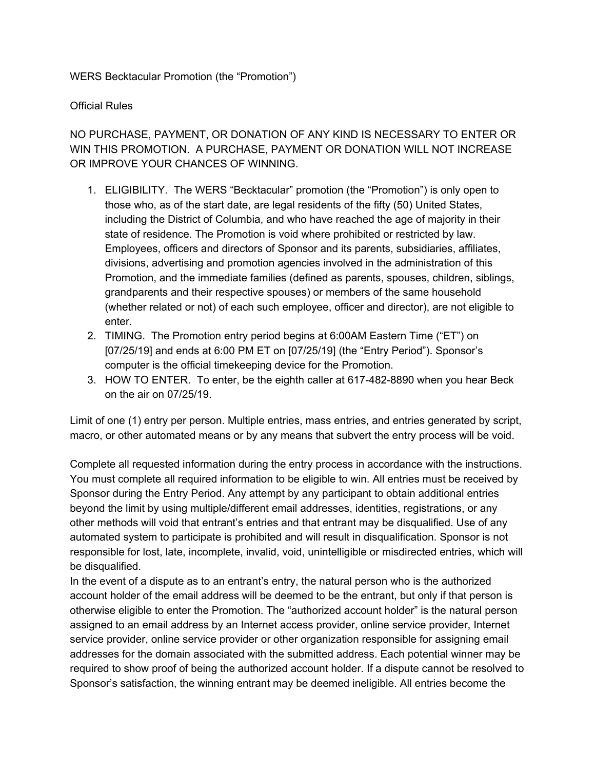## WERS Becktacular Promotion (the "Promotion")

## Official Rules

NO PURCHASE, PAYMENT, OR DONATION OF ANY KIND IS NECESSARY TO ENTER OR WIN THIS PROMOTION. A PURCHASE, PAYMENT OR DONATION WILL NOT INCREASE OR IMPROVE YOUR CHANCES OF WINNING.

- 1. ELIGIBILITY. The WERS "Becktacular" promotion (the "Promotion") is only open to those who, as of the start date, are legal residents of the fifty (50) United States, including the District of Columbia, and who have reached the age of majority in their state of residence. The Promotion is void where prohibited or restricted by law. Employees, officers and directors of Sponsor and its parents, subsidiaries, affiliates, divisions, advertising and promotion agencies involved in the administration of this Promotion, and the immediate families (defined as parents, spouses, children, siblings, grandparents and their respective spouses) or members of the same household (whether related or not) of each such employee, officer and director), are not eligible to enter.
- 2. TIMING. The Promotion entry period begins at 6:00AM Eastern Time ("ET") on [07/25/19] and ends at 6:00 PM ET on [07/25/19] (the "Entry Period"). Sponsor's computer is the official timekeeping device for the Promotion.
- 3. HOW TO ENTER. To enter, be the eighth caller at 617-482-8890 when you hear Beck on the air on 07/25/19.

Limit of one (1) entry per person. Multiple entries, mass entries, and entries generated by script, macro, or other automated means or by any means that subvert the entry process will be void.

Complete all requested information during the entry process in accordance with the instructions. You must complete all required information to be eligible to win. All entries must be received by Sponsor during the Entry Period. Any attempt by any participant to obtain additional entries beyond the limit by using multiple/different email addresses, identities, registrations, or any other methods will void that entrant's entries and that entrant may be disqualified. Use of any automated system to participate is prohibited and will result in disqualification. Sponsor is not responsible for lost, late, incomplete, invalid, void, unintelligible or misdirected entries, which will be disqualified.

In the event of a dispute as to an entrant's entry, the natural person who is the authorized account holder of the email address will be deemed to be the entrant, but only if that person is otherwise eligible to enter the Promotion. The "authorized account holder" is the natural person assigned to an email address by an Internet access provider, online service provider, Internet service provider, online service provider or other organization responsible for assigning email addresses for the domain associated with the submitted address. Each potential winner may be required to show proof of being the authorized account holder. If a dispute cannot be resolved to Sponsor's satisfaction, the winning entrant may be deemed ineligible. All entries become the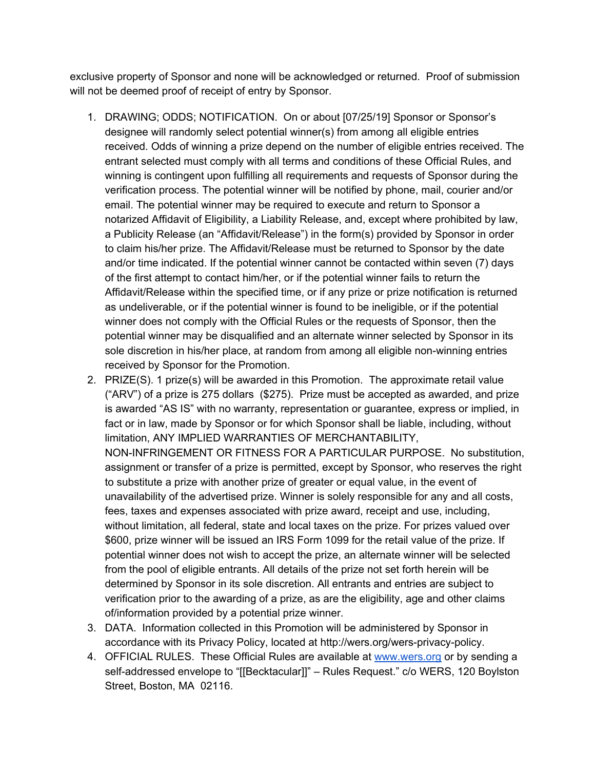exclusive property of Sponsor and none will be acknowledged or returned. Proof of submission will not be deemed proof of receipt of entry by Sponsor.

- 1. DRAWING; ODDS; NOTIFICATION. On or about [07/25/19] Sponsor or Sponsor's designee will randomly select potential winner(s) from among all eligible entries received. Odds of winning a prize depend on the number of eligible entries received. The entrant selected must comply with all terms and conditions of these Official Rules, and winning is contingent upon fulfilling all requirements and requests of Sponsor during the verification process. The potential winner will be notified by phone, mail, courier and/or email. The potential winner may be required to execute and return to Sponsor a notarized Affidavit of Eligibility, a Liability Release, and, except where prohibited by law, a Publicity Release (an "Affidavit/Release") in the form(s) provided by Sponsor in order to claim his/her prize. The Affidavit/Release must be returned to Sponsor by the date and/or time indicated. If the potential winner cannot be contacted within seven (7) days of the first attempt to contact him/her, or if the potential winner fails to return the Affidavit/Release within the specified time, or if any prize or prize notification is returned as undeliverable, or if the potential winner is found to be ineligible, or if the potential winner does not comply with the Official Rules or the requests of Sponsor, then the potential winner may be disqualified and an alternate winner selected by Sponsor in its sole discretion in his/her place, at random from among all eligible non-winning entries received by Sponsor for the Promotion.
- 2. PRIZE(S). 1 prize(s) will be awarded in this Promotion. The approximate retail value ("ARV") of a prize is 275 dollars (\$275). Prize must be accepted as awarded, and prize is awarded "AS IS" with no warranty, representation or guarantee, express or implied, in fact or in law, made by Sponsor or for which Sponsor shall be liable, including, without limitation, ANY IMPLIED WARRANTIES OF MERCHANTABILITY, NON-INFRINGEMENT OR FITNESS FOR A PARTICULAR PURPOSE. No substitution, assignment or transfer of a prize is permitted, except by Sponsor, who reserves the right to substitute a prize with another prize of greater or equal value, in the event of unavailability of the advertised prize. Winner is solely responsible for any and all costs, fees, taxes and expenses associated with prize award, receipt and use, including, without limitation, all federal, state and local taxes on the prize. For prizes valued over \$600, prize winner will be issued an IRS Form 1099 for the retail value of the prize. If potential winner does not wish to accept the prize, an alternate winner will be selected from the pool of eligible entrants. All details of the prize not set forth herein will be determined by Sponsor in its sole discretion. All entrants and entries are subject to verification prior to the awarding of a prize, as are the eligibility, age and other claims of/information provided by a potential prize winner.
- 3. DATA. Information collected in this Promotion will be administered by Sponsor in accordance with its Privacy Policy, located at http://wers.org/wers-privacy-policy.
- 4. OFFICIAL RULES. These Official Rules are available at [www.wers.org](http://www.wers.org/) or by sending a self-addressed envelope to "[[Becktacular]]" – Rules Request." c/o WERS, 120 Boylston Street, Boston, MA 02116.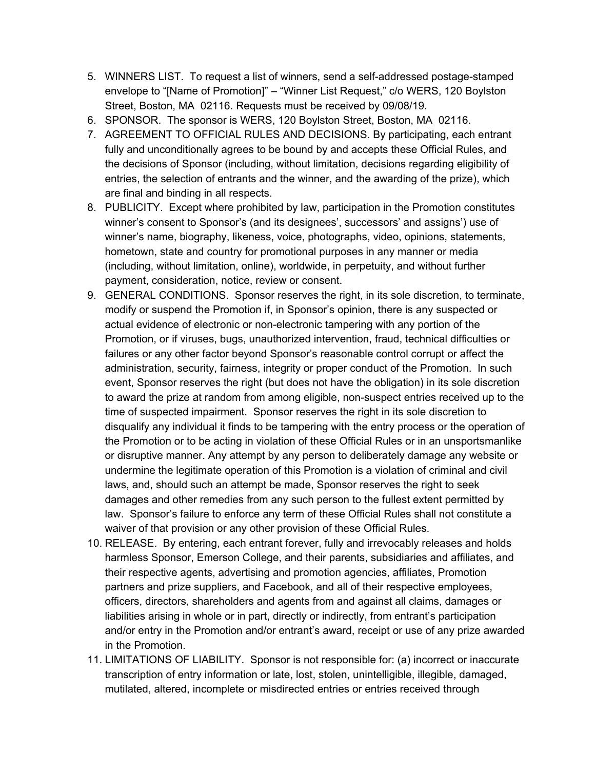- 5. WINNERS LIST. To request a list of winners, send a self-addressed postage-stamped envelope to "[Name of Promotion]" – "Winner List Request," c/o WERS, 120 Boylston Street, Boston, MA 02116. Requests must be received by 09/08/19.
- 6. SPONSOR. The sponsor is WERS, 120 Boylston Street, Boston, MA 02116.
- 7. AGREEMENT TO OFFICIAL RULES AND DECISIONS. By participating, each entrant fully and unconditionally agrees to be bound by and accepts these Official Rules, and the decisions of Sponsor (including, without limitation, decisions regarding eligibility of entries, the selection of entrants and the winner, and the awarding of the prize), which are final and binding in all respects.
- 8. PUBLICITY. Except where prohibited by law, participation in the Promotion constitutes winner's consent to Sponsor's (and its designees', successors' and assigns') use of winner's name, biography, likeness, voice, photographs, video, opinions, statements, hometown, state and country for promotional purposes in any manner or media (including, without limitation, online), worldwide, in perpetuity, and without further payment, consideration, notice, review or consent.
- 9. GENERAL CONDITIONS. Sponsor reserves the right, in its sole discretion, to terminate, modify or suspend the Promotion if, in Sponsor's opinion, there is any suspected or actual evidence of electronic or non-electronic tampering with any portion of the Promotion, or if viruses, bugs, unauthorized intervention, fraud, technical difficulties or failures or any other factor beyond Sponsor's reasonable control corrupt or affect the administration, security, fairness, integrity or proper conduct of the Promotion. In such event, Sponsor reserves the right (but does not have the obligation) in its sole discretion to award the prize at random from among eligible, non-suspect entries received up to the time of suspected impairment. Sponsor reserves the right in its sole discretion to disqualify any individual it finds to be tampering with the entry process or the operation of the Promotion or to be acting in violation of these Official Rules or in an unsportsmanlike or disruptive manner. Any attempt by any person to deliberately damage any website or undermine the legitimate operation of this Promotion is a violation of criminal and civil laws, and, should such an attempt be made, Sponsor reserves the right to seek damages and other remedies from any such person to the fullest extent permitted by law. Sponsor's failure to enforce any term of these Official Rules shall not constitute a waiver of that provision or any other provision of these Official Rules.
- 10. RELEASE. By entering, each entrant forever, fully and irrevocably releases and holds harmless Sponsor, Emerson College, and their parents, subsidiaries and affiliates, and their respective agents, advertising and promotion agencies, affiliates, Promotion partners and prize suppliers, and Facebook, and all of their respective employees, officers, directors, shareholders and agents from and against all claims, damages or liabilities arising in whole or in part, directly or indirectly, from entrant's participation and/or entry in the Promotion and/or entrant's award, receipt or use of any prize awarded in the Promotion.
- 11. LIMITATIONS OF LIABILITY. Sponsor is not responsible for: (a) incorrect or inaccurate transcription of entry information or late, lost, stolen, unintelligible, illegible, damaged, mutilated, altered, incomplete or misdirected entries or entries received through